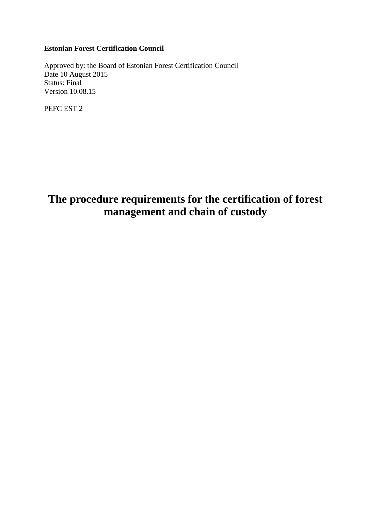# **Estonian Forest Certification Council**

Approved by: the Board of Estonian Forest Certification Council Date 10 August 2015 Status: Final Version 10.08.15

PEFC EST 2

# **The procedure requirements for the certification of forest management and chain of custody**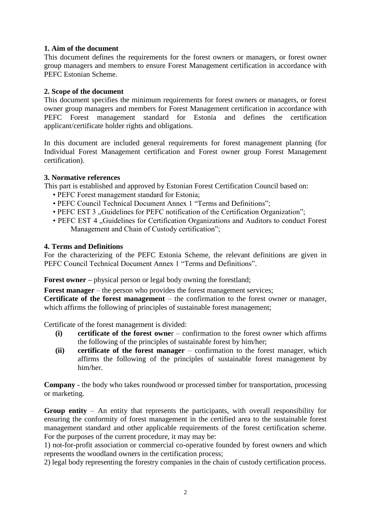## **1. Aim of the document**

This document defines the requirements for the forest owners or managers, or forest owner group managers and members to ensure Forest Management certification in accordance with PEFC Estonian Scheme.

## **2. Scope of the document**

This document specifies the minimum requirements for forest owners or managers, or forest owner group managers and members for Forest Management certification in accordance with PEFC Forest management standard for Estonia and defines the certification applicant/certificate holder rights and obligations.

In this document are included general requirements for forest management planning (for Individual Forest Management certification and Forest owner group Forest Management certification).

#### **3. Normative references**

This part is established and approved by Estonian Forest Certification Council based on:

- PEFC Forest management standard for Estonia;
- PEFC Council Technical Document Annex 1 "Terms and Definitions";
- PEFC EST 3 . Guidelines for PEFC notification of the Certification Organization";
- PEFC EST 4 "Guidelines for Certification Organizations and Auditors to conduct Forest Management and Chain of Custody certification";

#### **4. Terms and Definitions**

For the characterizing of the PEFC Estonia Scheme, the relevant definitions are given in PEFC Council Technical Document Annex 1 "Terms and Definitions".

**Forest owner** *–* physical person or legal body owning the forestland;

**Forest manager** – the person who provides the forest management services;

**Certificate of the forest management** – the confirmation to the forest owner or manager, which affirms the following of principles of sustainable forest management;

Certificate of the forest management is divided:

- **(i) certificate of the forest owne**r confirmation to the forest owner which affirms the following of the principles of sustainable forest by him/her;
- **(ii) certificate of the forest manager**  confirmation to the forest manager, which affirms the following of the principles of sustainable forest management by him/her.

**Company -** the body who takes roundwood or processed timber for transportation, processing or marketing.

**Group entity** – An entity that represents the participants, with overall responsibility for ensuring the conformity of forest management in the certified area to the sustainable forest management standard and other applicable requirements of the forest certification scheme. For the purposes of the current procedure, it may may be:

1) not-for-profit association or commercial co-operative founded by forest owners and which represents the woodland owners in the certification process;

2) legal body representing the forestry companies in the chain of custody certification process.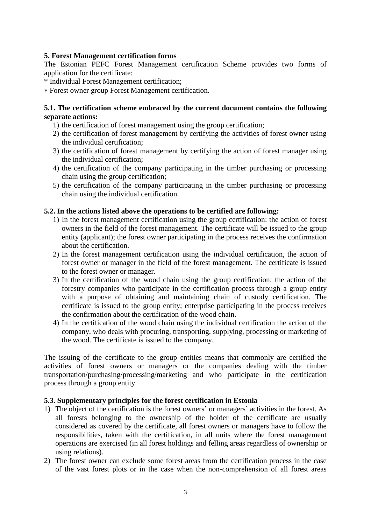## **5. Forest Management certification forms**

The Estonian PEFC Forest Management certification Scheme provides two forms of application for the certificate:

\* Individual Forest Management certification;

Forest owner group Forest Management certification.

### **5.1. The certification scheme embraced by the current document contains the following separate actions:**

- 1) the certification of forest management using the group certification;
- 2) the certification of forest management by certifying the activities of forest owner using the individual certification;
- 3) the certification of forest management by certifying the action of forest manager using the individual certification;
- 4) the certification of the company participating in the timber purchasing or processing chain using the group certification;
- 5) the certification of the company participating in the timber purchasing or processing chain using the individual certification.

## **5.2. In the actions listed above the operations to be certified are following:**

- 1) In the forest management certification using the group certification: the action of forest owners in the field of the forest management. The certificate will be issued to the group entity (applicant); the forest owner participating in the process receives the confirmation about the certification.
- 2) In the forest management certification using the individual certification, the action of forest owner or manager in the field of the forest management. The certificate is issued to the forest owner or manager.
- 3) In the certification of the wood chain using the group certification: the action of the forestry companies who participate in the certification process through a group entity with a purpose of obtaining and maintaining chain of custody certification. The certificate is issued to the group entity; enterprise participating in the process receives the confirmation about the certification of the wood chain.
- 4) In the certification of the wood chain using the individual certification the action of the company, who deals with procuring, transporting, supplying, processing or marketing of the wood. The certificate is issued to the company.

The issuing of the certificate to the group entities means that commonly are certified the activities of forest owners or managers or the companies dealing with the timber transportation/purchasing/processing/marketing and who participate in the certification process through a group entity.

#### **5.3. Supplementary principles for the forest certification in Estonia**

- 1) The object of the certification is the forest owners' or managers' activities in the forest. As all forests belonging to the ownership of the holder of the certificate are usually considered as covered by the certificate, all forest owners or managers have to follow the responsibilities, taken with the certification, in all units where the forest management operations are exercised (in all forest holdings and felling areas regardless of ownership or using relations).
- 2) The forest owner can exclude some forest areas from the certification process in the case of the vast forest plots or in the case when the non-comprehension of all forest areas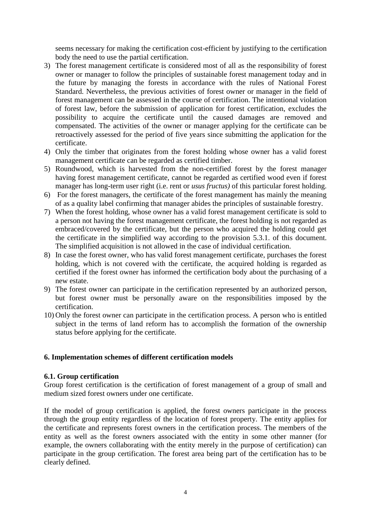seems necessary for making the certification cost-efficient by justifying to the certification body the need to use the partial certification.

- 3) The forest management certificate is considered most of all as the responsibility of forest owner or manager to follow the principles of sustainable forest management today and in the future by managing the forests in accordance with the rules of National Forest Standard. Nevertheless, the previous activities of forest owner or manager in the field of forest management can be assessed in the course of certification. The intentional violation of forest law, before the submission of application for forest certification, excludes the possibility to acquire the certificate until the caused damages are removed and compensated. The activities of the owner or manager applying for the certificate can be retroactively assessed for the period of five years since submitting the application for the certificate.
- 4) Only the timber that originates from the forest holding whose owner has a valid forest management certificate can be regarded as certified timber.
- 5) Roundwood, which is harvested from the non-certified forest by the forest manager having forest management certificate, cannot be regarded as certified wood even if forest manager has long-term user right (i.e. rent or *usus fructus)* of this particular forest holding.
- 6) For the forest managers, the certificate of the forest management has mainly the meaning of as a quality label confirming that manager abides the principles of sustainable forestry.
- 7) When the forest holding, whose owner has a valid forest management certificate is sold to a person not having the forest management certificate, the forest holding is not regarded as embraced/covered by the certificate, but the person who acquired the holding could get the certificate in the simplified way according to the provision 5.3.1. of this document. The simplified acquisition is not allowed in the case of individual certification.
- 8) In case the forest owner, who has valid forest management certificate, purchases the forest holding, which is not covered with the certificate, the acquired holding is regarded as certified if the forest owner has informed the certification body about the purchasing of a new estate.
- 9) The forest owner can participate in the certification represented by an authorized person, but forest owner must be personally aware on the responsibilities imposed by the certification.
- 10) Only the forest owner can participate in the certification process. A person who is entitled subject in the terms of land reform has to accomplish the formation of the ownership status before applying for the certificate.

#### **6. Implementation schemes of different certification models**

#### **6.1. Group certification**

Group forest certification is the certification of forest management of a group of small and medium sized forest owners under one certificate.

If the model of group certification is applied, the forest owners participate in the process through the group entity regardless of the location of forest property. The entity applies for the certificate and represents forest owners in the certification process. The members of the entity as well as the forest owners associated with the entity in some other manner (for example, the owners collaborating with the entity merely in the purpose of certification) can participate in the group certification. The forest area being part of the certification has to be clearly defined.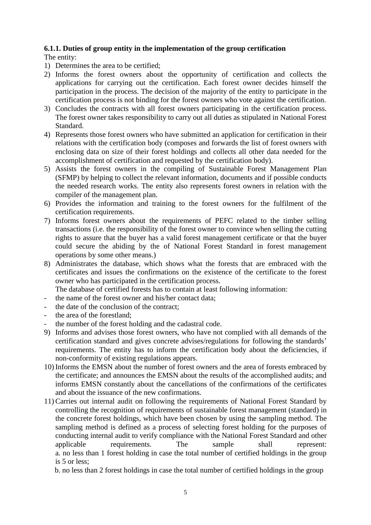## **6.1.1. Duties of group entity in the implementation of the group certification**

The entity:

- 1) Determines the area to be certified;
- 2) Informs the forest owners about the opportunity of certification and collects the applications for carrying out the certification. Each forest owner decides himself the participation in the process. The decision of the majority of the entity to participate in the certification process is not binding for the forest owners who vote against the certification.
- 3) Concludes the contracts with all forest owners participating in the certification process. The forest owner takes responsibility to carry out all duties as stipulated in National Forest Standard.
- 4) Represents those forest owners who have submitted an application for certification in their relations with the certification body (composes and forwards the list of forest owners with enclosing data on size of their forest holdings and collects all other data needed for the accomplishment of certification and requested by the certification body).
- 5) Assists the forest owners in the compiling of Sustainable Forest Management Plan (SFMP) by helping to collect the relevant information, documents and if possible conducts the needed research works. The entity also represents forest owners in relation with the compiler of the management plan.
- 6) Provides the information and training to the forest owners for the fulfilment of the certification requirements.
- 7) Informs forest owners about the requirements of PEFC related to the timber selling transactions (i.e. the responsibility of the forest owner to convince when selling the cutting rights to assure that the buyer has a valid forest management certificate or that the buyer could secure the abiding by the of National Forest Standard in forest management operations by some other means.)
- 8) Administrates the database, which shows what the forests that are embraced with the certificates and issues the confirmations on the existence of the certificate to the forest owner who has participated in the certification process.

The database of certified forests has to contain at least following information:

- the name of the forest owner and his/her contact data;
- the date of the conclusion of the contract:
- the area of the forestland:
- the number of the forest holding and the cadastral code.
- 9) Informs and advises those forest owners, who have not complied with all demands of the certification standard and gives concrete advises/regulations for following the standards' requirements. The entity has to inform the certification body about the deficiencies, if non-conformity of existing regulations appears.
- 10) Informs the EMSN about the number of forest owners and the area of forests embraced by the certificate; and announces the EMSN about the results of the accomplished audits; and informs EMSN constantly about the cancellations of the confirmations of the certificates and about the issuance of the new confirmations.
- 11) Carries out internal audit on following the requirements of National Forest Standard by controlling the recognition of requirements of sustainable forest management (standard) in the concrete forest holdings, which have been chosen by using the sampling method. The sampling method is defined as a process of selecting forest holding for the purposes of conducting internal audit to verify compliance with the National Forest Standard and other applicable requirements. The sample shall represent: a. no less than 1 forest holding in case the total number of certified holdings in the group is 5 or less;

b. no less than 2 forest holdings in case the total number of certified holdings in the group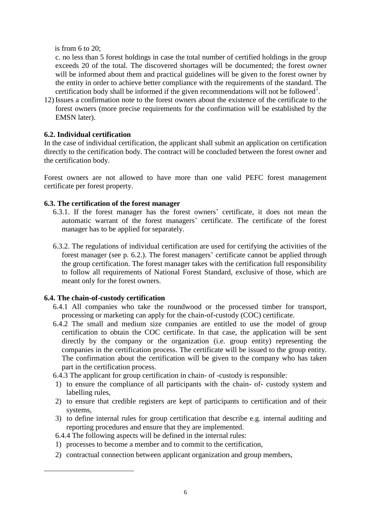is from 6 to 20;

c. no less than 5 forest holdings in case the total number of certified holdings in the group exceeds 20 of the total. The discovered shortages will be documented; the forest owner will be informed about them and practical guidelines will be given to the forest owner by the entity in order to achieve better compliance with the requirements of the standard. The certification body shall be informed if the given recommendations will not be followed<sup>1</sup>.

12) Issues a confirmation note to the forest owners about the existence of the certificate to the forest owners (more precise requirements for the confirmation will be established by the EMSN later).

# **6.2. Individual certification**

In the case of individual certification, the applicant shall submit an application on certification directly to the certification body. The contract will be concluded between the forest owner and the certification body.

Forest owners are not allowed to have more than one valid PEFC forest management certificate per forest property.

# **6.3. The certification of the forest manager**

- 6.3.1. If the forest manager has the forest owners' certificate, it does not mean the automatic warrant of the forest managers' certificate. The certificate of the forest manager has to be applied for separately.
- 6.3.2. The regulations of individual certification are used for certifying the activities of the forest manager (see p. 6.2.). The forest managers' certificate cannot be applied through the group certification. The forest manager takes with the certification full responsibility to follow all requirements of National Forest Standard, exclusive of those, which are meant only for the forest owners.

# **6.4. The chain-of-custody certification**

-

- 6.4.1 All companies who take the roundwood or the processed timber for transport, processing or marketing can apply for the chain-of-custody (COC) certificate.
- 6.4.2 The small and medium size companies are entitled to use the model of group certification to obtain the COC certificate. In that case, the application will be sent directly by the company or the organization (i.e. group entity) representing the companies in the certification process. The certificate will be issued to the group entity. The confirmation about the certification will be given to the company who has taken part in the certification process.
- 6.4.3 The applicant for group certification in chain- of -custody is responsible:
- 1) to ensure the compliance of all participants with the chain- of- custody system and labelling rules,
- 2) to ensure that credible registers are kept of participants to certification and of their systems,
- 3) to define internal rules for group certification that describe e.g. internal auditing and reporting procedures and ensure that they are implemented.
- 6.4.4 The following aspects will be defined in the internal rules:
- 1) processes to become a member and to commit to the certification,
- 2) contractual connection between applicant organization and group members,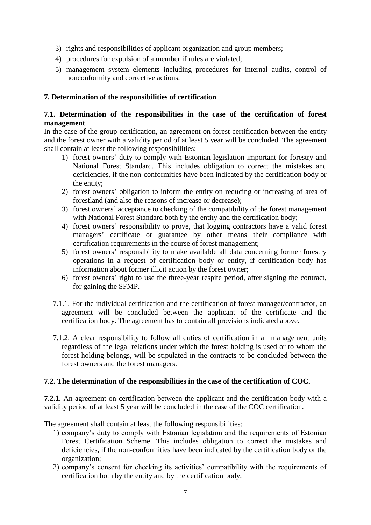- 3) rights and responsibilities of applicant organization and group members;
- 4) procedures for expulsion of a member if rules are violated;
- 5) management system elements including procedures for internal audits, control of nonconformity and corrective actions.

# **7. Determination of the responsibilities of certification**

# **7.1. Determination of the responsibilities in the case of the certification of forest management**

In the case of the group certification, an agreement on forest certification between the entity and the forest owner with a validity period of at least 5 year will be concluded. The agreement shall contain at least the following responsibilities:

- 1) forest owners' duty to comply with Estonian legislation important for forestry and National Forest Standard. This includes obligation to correct the mistakes and deficiencies, if the non-conformities have been indicated by the certification body or the entity;
- 2) forest owners' obligation to inform the entity on reducing or increasing of area of forestland (and also the reasons of increase or decrease);
- 3) forest owners' acceptance to checking of the compatibility of the forest management with National Forest Standard both by the entity and the certification body;
- 4) forest owners' responsibility to prove, that logging contractors have a valid forest managers' certificate or guarantee by other means their compliance with certification requirements in the course of forest management;
- 5) forest owners' responsibility to make available all data concerning former forestry operations in a request of certification body or entity, if certification body has information about former illicit action by the forest owner;
- 6) forest owners' right to use the three-year respite period, after signing the contract, for gaining the SFMP.
- 7.1.1. For the individual certification and the certification of forest manager/contractor, an agreement will be concluded between the applicant of the certificate and the certification body. The agreement has to contain all provisions indicated above.
- 7.1.2. A clear responsibility to follow all duties of certification in all management units regardless of the legal relations under which the forest holding is used or to whom the forest holding belongs, will be stipulated in the contracts to be concluded between the forest owners and the forest managers.

# **7.2. The determination of the responsibilities in the case of the certification of COC.**

**7.2.1.** An agreement on certification between the applicant and the certification body with a validity period of at least 5 year will be concluded in the case of the COC certification.

The agreement shall contain at least the following responsibilities:

- 1) company's duty to comply with Estonian legislation and the requirements of Estonian Forest Certification Scheme. This includes obligation to correct the mistakes and deficiencies, if the non-conformities have been indicated by the certification body or the organization;
- 2) company's consent for checking its activities' compatibility with the requirements of certification both by the entity and by the certification body;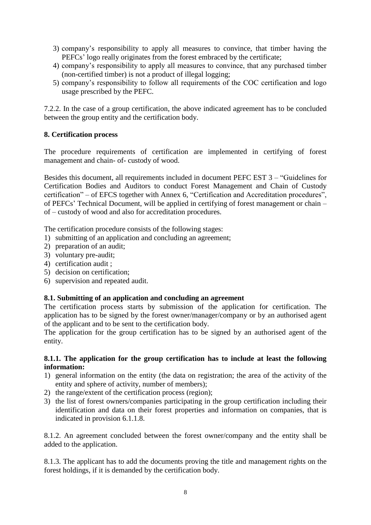- 3) company's responsibility to apply all measures to convince, that timber having the PEFCs' logo really originates from the forest embraced by the certificate;
- 4) company's responsibility to apply all measures to convince, that any purchased timber (non-certified timber) is not a product of illegal logging;
- 5) company's responsibility to follow all requirements of the COC certification and logo usage prescribed by the PEFC.

7.2.2. In the case of a group certification, the above indicated agreement has to be concluded between the group entity and the certification body.

# **8. Certification process**

The procedure requirements of certification are implemented in certifying of forest management and chain- of- custody of wood.

Besides this document, all requirements included in document PEFC EST 3 – "Guidelines for Certification Bodies and Auditors to conduct Forest Management and Chain of Custody certification" – of EFCS together with Annex 6, "Certification and Accreditation procedures", of PEFCs' Technical Document, will be applied in certifying of forest management or chain – of – custody of wood and also for accreditation procedures.

The certification procedure consists of the following stages:

- 1) submitting of an application and concluding an agreement;
- 2) preparation of an audit;
- 3) voluntary pre-audit;
- 4) certification audit ;
- 5) decision on certification;
- 6) supervision and repeated audit.

# **8.1. Submitting of an application and concluding an agreement**

The certification process starts by submission of the application for certification. The application has to be signed by the forest owner/manager/company or by an authorised agent of the applicant and to be sent to the certification body.

The application for the group certification has to be signed by an authorised agent of the entity.

#### **8.1.1. The application for the group certification has to include at least the following information:**

- 1) general information on the entity (the data on registration; the area of the activity of the entity and sphere of activity, number of members);
- 2) the range/extent of the certification process (region);
- 3) the list of forest owners/companies participating in the group certification including their identification and data on their forest properties and information on companies, that is indicated in provision 6.1.1.8.

8.1.2. An agreement concluded between the forest owner/company and the entity shall be added to the application.

8.1.3. The applicant has to add the documents proving the title and management rights on the forest holdings, if it is demanded by the certification body.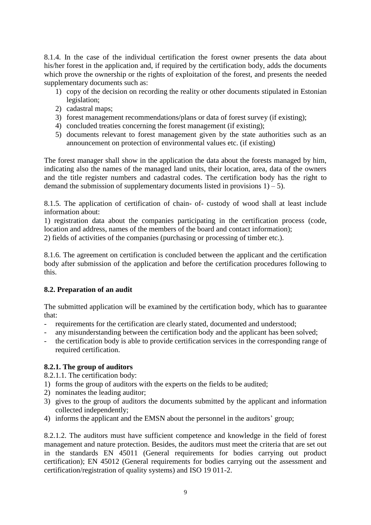8.1.4. In the case of the individual certification the forest owner presents the data about his/her forest in the application and, if required by the certification body, adds the documents which prove the ownership or the rights of exploitation of the forest, and presents the needed supplementary documents such as:

- 1) copy of the decision on recording the reality or other documents stipulated in Estonian legislation;
- 2) cadastral maps;
- 3) forest management recommendations/plans or data of forest survey (if existing);
- 4) concluded treaties concerning the forest management (if existing);
- 5) documents relevant to forest management given by the state authorities such as an announcement on protection of environmental values etc. (if existing)

The forest manager shall show in the application the data about the forests managed by him, indicating also the names of the managed land units, their location, area, data of the owners and the title register numbers and cadastral codes. The certification body has the right to demand the submission of supplementary documents listed in provisions  $1$ ) – 5).

8.1.5. The application of certification of chain- of- custody of wood shall at least include information about:

1) registration data about the companies participating in the certification process (code, location and address, names of the members of the board and contact information); 2) fields of activities of the companies (purchasing or processing of timber etc.).

8.1.6. The agreement on certification is concluded between the applicant and the certification body after submission of the application and before the certification procedures following to this.

# **8.2. Preparation of an audit**

The submitted application will be examined by the certification body, which has to guarantee that:

- requirements for the certification are clearly stated, documented and understood;
- any misunderstanding between the certification body and the applicant has been solved;
- the certification body is able to provide certification services in the corresponding range of required certification.

# **8.2.1. The group of auditors**

8.2.1.1. The certification body:

- 1) forms the group of auditors with the experts on the fields to be audited;
- 2) nominates the leading auditor;
- 3) gives to the group of auditors the documents submitted by the applicant and information collected independently;
- 4) informs the applicant and the EMSN about the personnel in the auditors' group;

8.2.1.2. The auditors must have sufficient competence and knowledge in the field of forest management and nature protection. Besides, the auditors must meet the criteria that are set out in the standards EN 45011 (General requirements for bodies carrying out product certification); EN 45012 (General requirements for bodies carrying out the assessment and certification/registration of quality systems) and ISO 19 011-2.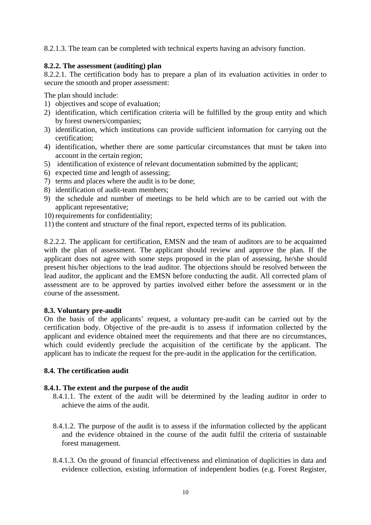8.2.1.3. The team can be completed with technical experts having an advisory function.

### **8.2.2. The assessment (auditing) plan**

8.2.2.1. The certification body has to prepare a plan of its evaluation activities in order to secure the smooth and proper assessment:

The plan should include:

- 1) objectives and scope of evaluation;
- 2) identification, which certification criteria will be fulfilled by the group entity and which by forest owners/companies;
- 3) identification, which institutions can provide sufficient information for carrying out the certification;
- 4) identification, whether there are some particular circumstances that must be taken into account in the certain region;
- 5) identification of existence of relevant documentation submitted by the applicant;
- 6) expected time and length of assessing;
- 7) terms and places where the audit is to be done;
- 8) identification of audit-team members;
- 9) the schedule and number of meetings to be held which are to be carried out with the applicant representative;
- 10) requirements for confidentiality;
- 11) the content and structure of the final report, expected terms of its publication.

8.2.2.2. The applicant for certification, EMSN and the team of auditors are to be acquainted with the plan of assessment. The applicant should review and approve the plan. If the applicant does not agree with some steps proposed in the plan of assessing, he/she should present his/her objections to the lead auditor. The objections should be resolved between the lead auditor, the applicant and the EMSN before conducting the audit. All corrected plans of assessment are to be approved by parties involved either before the assessment or in the course of the assessment.

#### **8.3. Voluntary pre-audit**

On the basis of the applicants' request, a voluntary pre-audit can be carried out by the certification body. Objective of the pre-audit is to assess if information collected by the applicant and evidence obtained meet the requirements and that there are no circumstances, which could evidently preclude the acquisition of the certificate by the applicant. The applicant has to indicate the request for the pre-audit in the application for the certification.

#### **8.4. The certification audit**

#### **8.4.1. The extent and the purpose of the audit**

- 8.4.1.1. The extent of the audit will be determined by the leading auditor in order to achieve the aims of the audit.
- 8.4.1.2. The purpose of the audit is to assess if the information collected by the applicant and the evidence obtained in the course of the audit fulfil the criteria of sustainable forest management.
- 8.4.1.3. On the ground of financial effectiveness and elimination of duplicities in data and evidence collection, existing information of independent bodies (e.g. Forest Register,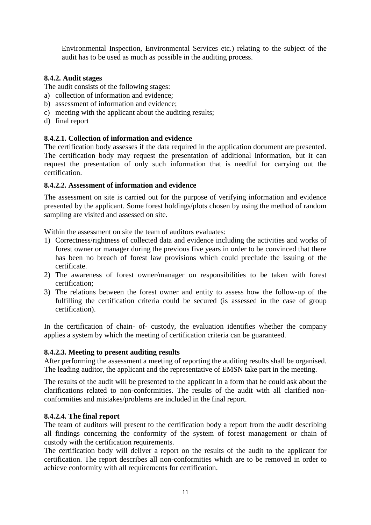Environmental Inspection, Environmental Services etc.) relating to the subject of the audit has to be used as much as possible in the auditing process.

# **8.4.2. Audit stages**

The audit consists of the following stages:

- a) collection of information and evidence;
- b) assessment of information and evidence;
- c) meeting with the applicant about the auditing results;
- d) final report

# **8.4.2.1. Collection of information and evidence**

The certification body assesses if the data required in the application document are presented. The certification body may request the presentation of additional information, but it can request the presentation of only such information that is needful for carrying out the certification.

# **8.4.2.2. Assessment of information and evidence**

The assessment on site is carried out for the purpose of verifying information and evidence presented by the applicant. Some forest holdings/plots chosen by using the method of random sampling are visited and assessed on site.

Within the assessment on site the team of auditors evaluates:

- 1) Correctness/rightness of collected data and evidence including the activities and works of forest owner or manager during the previous five years in order to be convinced that there has been no breach of forest law provisions which could preclude the issuing of the certificate.
- 2) The awareness of forest owner/manager on responsibilities to be taken with forest certification;
- 3) The relations between the forest owner and entity to assess how the follow-up of the fulfilling the certification criteria could be secured (is assessed in the case of group certification).

In the certification of chain- of- custody, the evaluation identifies whether the company applies a system by which the meeting of certification criteria can be guaranteed.

# **8.4.2.3. Meeting to present auditing results**

After performing the assessment a meeting of reporting the auditing results shall be organised. The leading auditor, the applicant and the representative of EMSN take part in the meeting.

The results of the audit will be presented to the applicant in a form that he could ask about the clarifications related to non-conformities. The results of the audit with all clarified nonconformities and mistakes/problems are included in the final report.

# **8.4.2.4. The final report**

The team of auditors will present to the certification body a report from the audit describing all findings concerning the conformity of the system of forest management or chain of custody with the certification requirements.

The certification body will deliver a report on the results of the audit to the applicant for certification. The report describes all non-conformities which are to be removed in order to achieve conformity with all requirements for certification.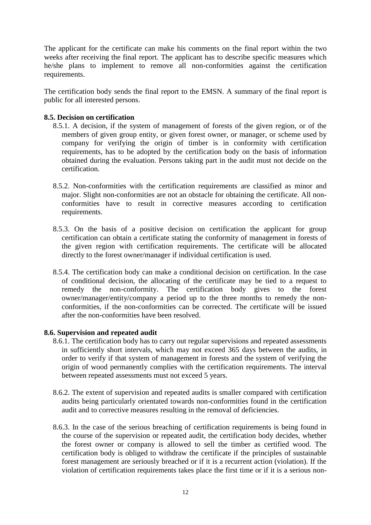The applicant for the certificate can make his comments on the final report within the two weeks after receiving the final report. The applicant has to describe specific measures which he/she plans to implement to remove all non-conformities against the certification requirements.

The certification body sends the final report to the EMSN. A summary of the final report is public for all interested persons.

#### **8.5. Decision on certification**

- 8.5.1. A decision, if the system of management of forests of the given region, or of the members of given group entity, or given forest owner, or manager, or scheme used by company for verifying the origin of timber is in conformity with certification requirements, has to be adopted by the certification body on the basis of information obtained during the evaluation. Persons taking part in the audit must not decide on the certification.
- 8.5.2. Non-conformities with the certification requirements are classified as minor and major. Slight non-conformities are not an obstacle for obtaining the certificate. All nonconformities have to result in corrective measures according to certification requirements.
- 8.5.3. On the basis of a positive decision on certification the applicant for group certification can obtain a certificate stating the conformity of management in forests of the given region with certification requirements. The certificate will be allocated directly to the forest owner/manager if individual certification is used.
- 8.5.4. The certification body can make a conditional decision on certification. In the case of conditional decision, the allocating of the certificate may be tied to a request to remedy the non-conformity. The certification body gives to the forest owner/manager/entity/company a period up to the three months to remedy the nonconformities, if the non-conformities can be corrected. The certificate will be issued after the non-conformities have been resolved.

#### **8.6. Supervision and repeated audit**

- 8.6.1. The certification body has to carry out regular supervisions and repeated assessments in sufficiently short intervals, which may not exceed 365 days between the audits, in order to verify if that system of management in forests and the system of verifying the origin of wood permanently complies with the certification requirements. The interval between repeated assessments must not exceed 5 years.
- 8.6.2. The extent of supervision and repeated audits is smaller compared with certification audits being particularly orientated towards non-conformities found in the certification audit and to corrective measures resulting in the removal of deficiencies.
- 8.6.3. In the case of the serious breaching of certification requirements is being found in the course of the supervision or repeated audit, the certification body decides, whether the forest owner or company is allowed to sell the timber as certified wood. The certification body is obliged to withdraw the certificate if the principles of sustainable forest management are seriously breached or if it is a recurrent action (violation). If the violation of certification requirements takes place the first time or if it is a serious non-